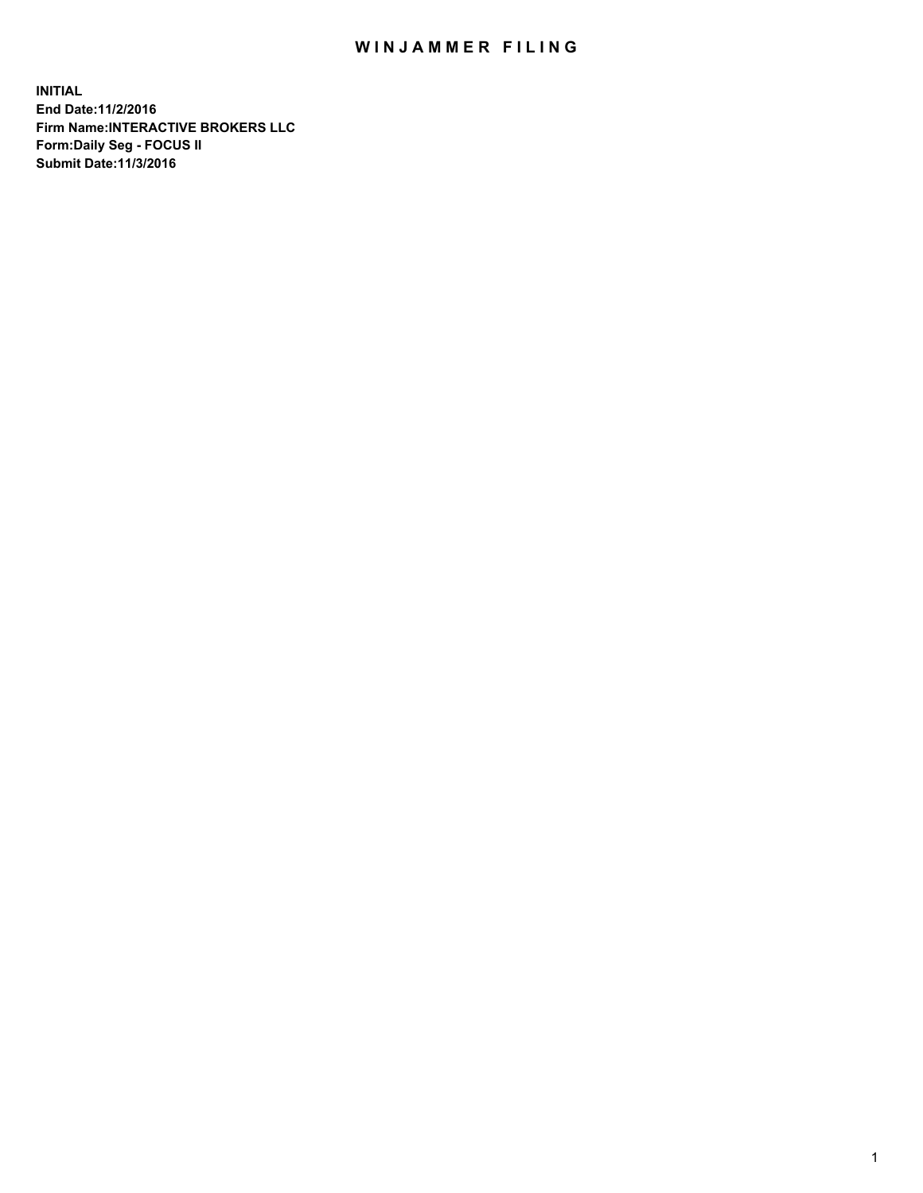## WIN JAMMER FILING

**INITIAL End Date:11/2/2016 Firm Name:INTERACTIVE BROKERS LLC Form:Daily Seg - FOCUS II Submit Date:11/3/2016**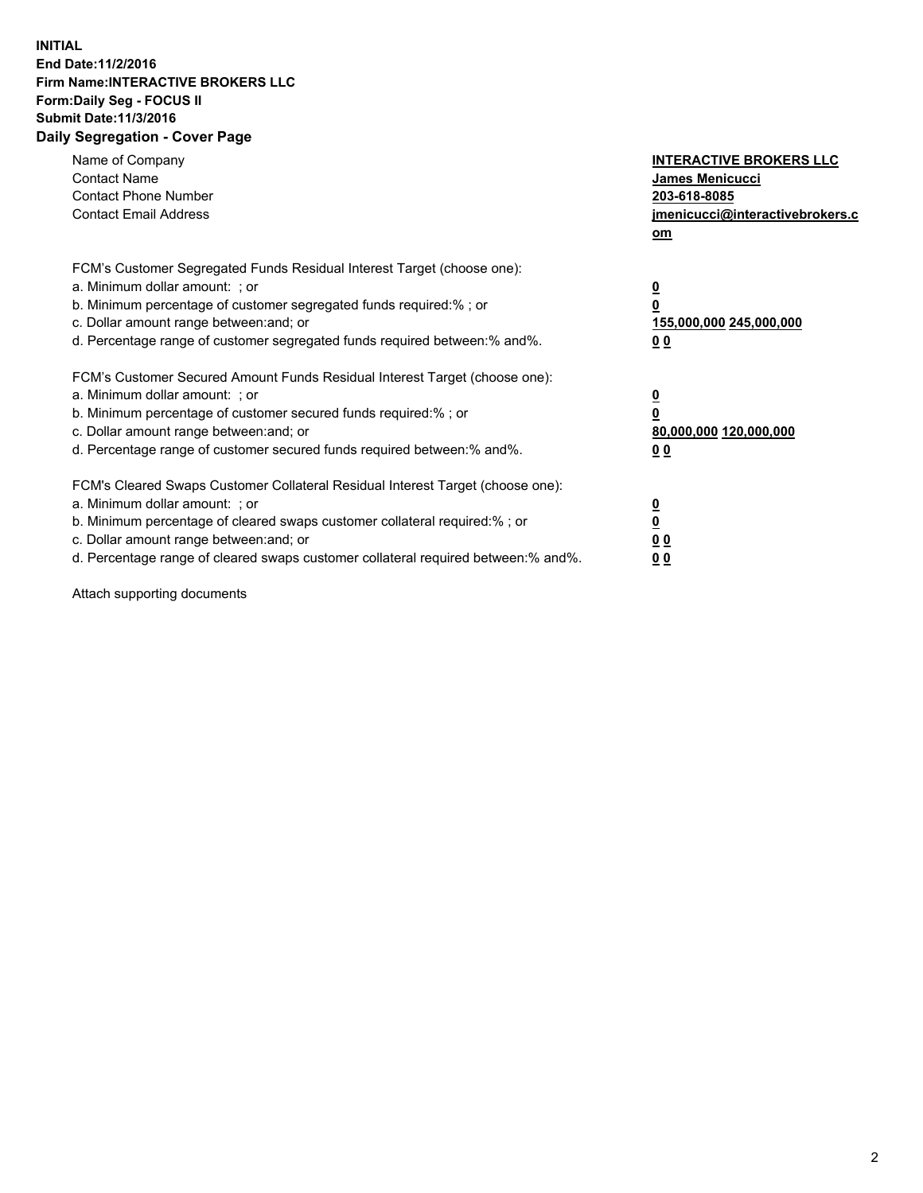## **INITIAL End Date:11/2/2016 Firm Name:INTERACTIVE BROKERS LLC Form:Daily Seg - FOCUS II Submit Date:11/3/2016 Daily Segregation - Cover Page**

| Name of Company<br><b>Contact Name</b><br><b>Contact Phone Number</b><br><b>Contact Email Address</b>                                                                                                                                                                                                                          | <b>INTERACTIVE BROKERS LLC</b><br>James Menicucci<br>203-618-8085<br>jmenicucci@interactivebrokers.c<br>om |
|--------------------------------------------------------------------------------------------------------------------------------------------------------------------------------------------------------------------------------------------------------------------------------------------------------------------------------|------------------------------------------------------------------------------------------------------------|
| FCM's Customer Segregated Funds Residual Interest Target (choose one):<br>a. Minimum dollar amount: ; or<br>b. Minimum percentage of customer segregated funds required:%; or<br>c. Dollar amount range between: and; or<br>d. Percentage range of customer segregated funds required between:% and%.                          | $\overline{\mathbf{0}}$<br>0<br>155,000,000 245,000,000<br>0 <sub>0</sub>                                  |
| FCM's Customer Secured Amount Funds Residual Interest Target (choose one):<br>a. Minimum dollar amount: ; or<br>b. Minimum percentage of customer secured funds required:%; or<br>c. Dollar amount range between: and; or<br>d. Percentage range of customer secured funds required between:% and%.                            | $\overline{\mathbf{0}}$<br>$\overline{\mathbf{0}}$<br>80,000,000 120,000,000<br>00                         |
| FCM's Cleared Swaps Customer Collateral Residual Interest Target (choose one):<br>a. Minimum dollar amount: ; or<br>b. Minimum percentage of cleared swaps customer collateral required:% ; or<br>c. Dollar amount range between: and; or<br>d. Percentage range of cleared swaps customer collateral required between:% and%. | $\overline{\mathbf{0}}$<br>$\overline{\mathbf{0}}$<br>0 <sub>0</sub><br><u>00</u>                          |

Attach supporting documents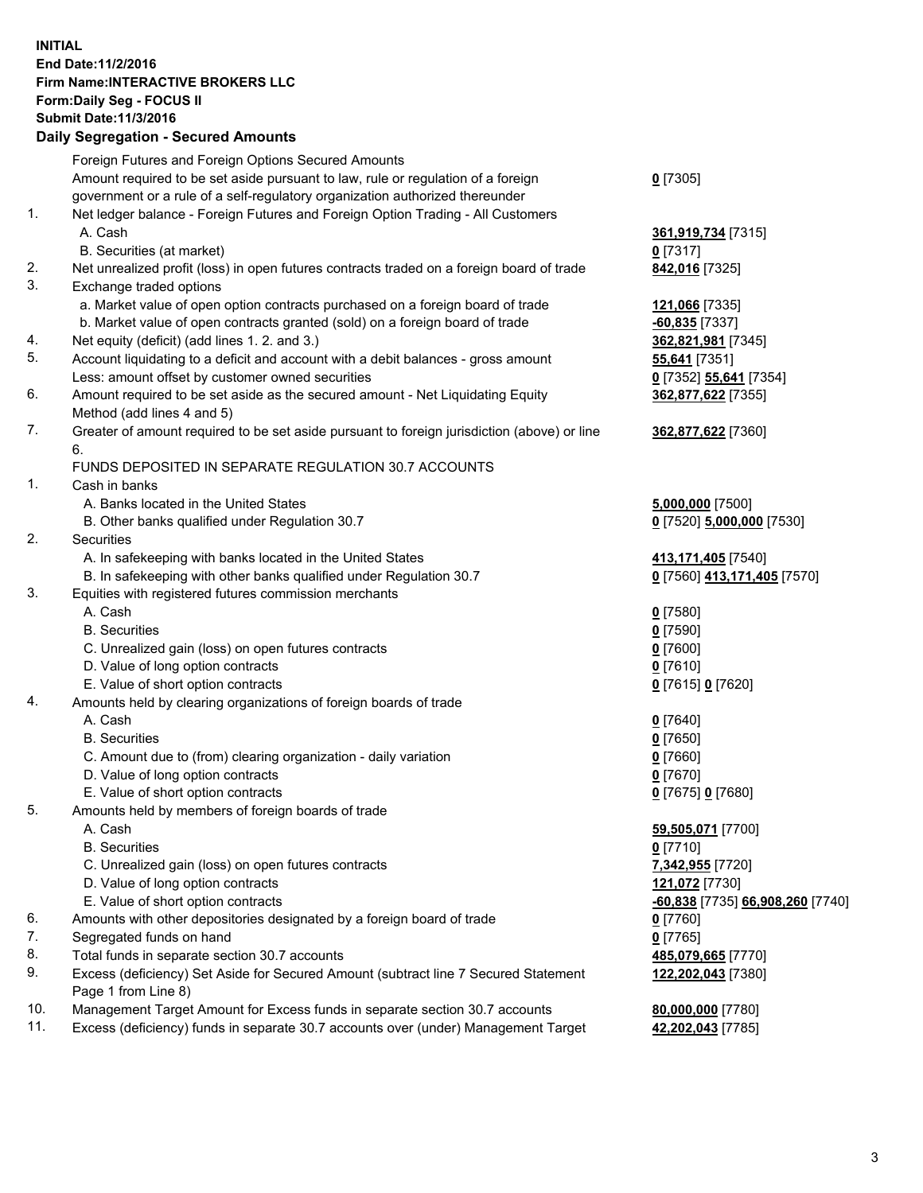## **INITIAL End Date:11/2/2016 Firm Name:INTERACTIVE BROKERS LLC Form:Daily Seg - FOCUS II Submit Date:11/3/2016 Daily Segregation - Secured Amounts**

|                | Daily Jegregation - Jeculed Aniounts                                                                       |                                  |
|----------------|------------------------------------------------------------------------------------------------------------|----------------------------------|
|                | Foreign Futures and Foreign Options Secured Amounts                                                        |                                  |
|                | Amount required to be set aside pursuant to law, rule or regulation of a foreign                           | $0$ [7305]                       |
|                | government or a rule of a self-regulatory organization authorized thereunder                               |                                  |
| 1.             | Net ledger balance - Foreign Futures and Foreign Option Trading - All Customers                            |                                  |
|                | A. Cash                                                                                                    | 361,919,734 [7315]               |
|                | B. Securities (at market)                                                                                  | $0$ [7317]                       |
| 2.             | Net unrealized profit (loss) in open futures contracts traded on a foreign board of trade                  | 842,016 [7325]                   |
| 3.             | Exchange traded options                                                                                    |                                  |
|                | a. Market value of open option contracts purchased on a foreign board of trade                             | 121,066 [7335]                   |
|                | b. Market value of open contracts granted (sold) on a foreign board of trade                               | $-60,835$ [7337]                 |
| 4.             | Net equity (deficit) (add lines 1.2. and 3.)                                                               | 362,821,981 [7345]               |
| 5.             | Account liquidating to a deficit and account with a debit balances - gross amount                          | 55,641 [7351]                    |
|                | Less: amount offset by customer owned securities                                                           | 0 [7352] 55,641 [7354]           |
| 6.             | Amount required to be set aside as the secured amount - Net Liquidating Equity                             | 362,877,622 [7355]               |
|                | Method (add lines 4 and 5)                                                                                 |                                  |
| 7.             | Greater of amount required to be set aside pursuant to foreign jurisdiction (above) or line                | 362,877,622 [7360]               |
|                | 6.                                                                                                         |                                  |
|                | FUNDS DEPOSITED IN SEPARATE REGULATION 30.7 ACCOUNTS                                                       |                                  |
| $\mathbf{1}$ . | Cash in banks                                                                                              |                                  |
|                | A. Banks located in the United States                                                                      | 5,000,000 [7500]                 |
|                | B. Other banks qualified under Regulation 30.7                                                             | 0 [7520] 5,000,000 [7530]        |
| 2.             | Securities                                                                                                 |                                  |
|                | A. In safekeeping with banks located in the United States                                                  | 413,171,405 [7540]               |
|                | B. In safekeeping with other banks qualified under Regulation 30.7                                         | 0 [7560] 413,171,405 [7570]      |
| 3.             | Equities with registered futures commission merchants                                                      |                                  |
|                | A. Cash                                                                                                    | $0$ [7580]                       |
|                | <b>B.</b> Securities                                                                                       | $0$ [7590]                       |
|                | C. Unrealized gain (loss) on open futures contracts                                                        | $0$ [7600]                       |
|                | D. Value of long option contracts                                                                          | $0$ [7610]                       |
|                | E. Value of short option contracts                                                                         | 0 [7615] 0 [7620]                |
| 4.             | Amounts held by clearing organizations of foreign boards of trade                                          |                                  |
|                | A. Cash                                                                                                    | $0$ [7640]                       |
|                | <b>B.</b> Securities                                                                                       | $0$ [7650]                       |
|                | C. Amount due to (from) clearing organization - daily variation                                            | $0$ [7660]                       |
|                | D. Value of long option contracts                                                                          | $0$ [7670]                       |
|                | E. Value of short option contracts                                                                         | 0 [7675] 0 [7680]                |
| 5.             | Amounts held by members of foreign boards of trade                                                         |                                  |
|                | A. Cash                                                                                                    | 59,505,071 [7700]                |
|                | <b>B.</b> Securities                                                                                       | $0$ [7710]                       |
|                | C. Unrealized gain (loss) on open futures contracts                                                        | 7,342,955 [7720]                 |
|                | D. Value of long option contracts                                                                          | 121,072 [7730]                   |
|                | E. Value of short option contracts                                                                         | -60,838 [7735] 66,908,260 [7740] |
| 6.             | Amounts with other depositories designated by a foreign board of trade                                     | $0$ [7760]                       |
| 7.             | Segregated funds on hand                                                                                   | $0$ [7765]                       |
| 8.             | Total funds in separate section 30.7 accounts                                                              | 485,079,665 [7770]               |
| 9.             | Excess (deficiency) Set Aside for Secured Amount (subtract line 7 Secured Statement<br>Page 1 from Line 8) | 122,202,043 [7380]               |
| 10.            | Management Target Amount for Excess funds in separate section 30.7 accounts                                | 80,000,000 [7780]                |
| 11.            | Excess (deficiency) funds in separate 30.7 accounts over (under) Management Target                         | 42,202,043 [7785]                |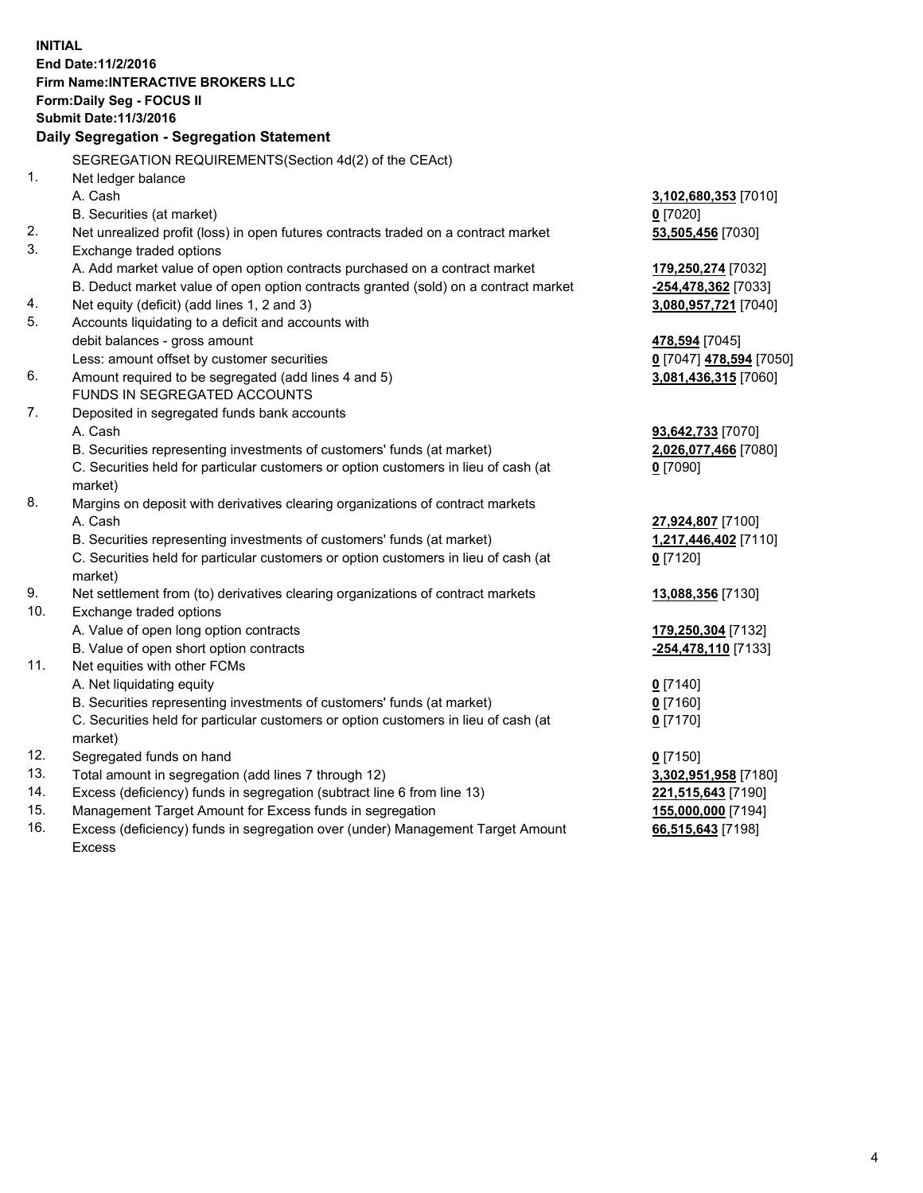**INITIAL End Date:11/2/2016 Firm Name:INTERACTIVE BROKERS LLC Form:Daily Seg - FOCUS II Submit Date:11/3/2016 Daily Segregation - Segregation Statement** SEGREGATION REQUIREMENTS(Section 4d(2) of the CEAct) 1. Net ledger balance A. Cash **3,102,680,353** [7010] B. Securities (at market) **0** [7020] 2. Net unrealized profit (loss) in open futures contracts traded on a contract market **53,505,456** [7030] 3. Exchange traded options A. Add market value of open option contracts purchased on a contract market **179,250,274** [7032] B. Deduct market value of open option contracts granted (sold) on a contract market **-254,478,362** [7033] 4. Net equity (deficit) (add lines 1, 2 and 3) **3,080,957,721** [7040] 5. Accounts liquidating to a deficit and accounts with debit balances - gross amount **478,594** [7045] Less: amount offset by customer securities **0** [7047] **478,594** [7050] 6. Amount required to be segregated (add lines 4 and 5) **3,081,436,315** [7060] FUNDS IN SEGREGATED ACCOUNTS 7. Deposited in segregated funds bank accounts A. Cash **93,642,733** [7070] B. Securities representing investments of customers' funds (at market) **2,026,077,466** [7080] C. Securities held for particular customers or option customers in lieu of cash (at market) **0** [7090] 8. Margins on deposit with derivatives clearing organizations of contract markets A. Cash **27,924,807** [7100] B. Securities representing investments of customers' funds (at market) **1,217,446,402** [7110] C. Securities held for particular customers or option customers in lieu of cash (at market) **0** [7120] 9. Net settlement from (to) derivatives clearing organizations of contract markets **13,088,356** [7130] 10. Exchange traded options A. Value of open long option contracts **179,250,304** [7132] B. Value of open short option contracts **-254,478,110** [7133] 11. Net equities with other FCMs A. Net liquidating equity **0** [7140] B. Securities representing investments of customers' funds (at market) **0** [7160] C. Securities held for particular customers or option customers in lieu of cash (at market) **0** [7170] 12. Segregated funds on hand **0** [7150] 13. Total amount in segregation (add lines 7 through 12) **3,302,951,958** [7180] 14. Excess (deficiency) funds in segregation (subtract line 6 from line 13) **221,515,643** [7190] 15. Management Target Amount for Excess funds in segregation **155,000,000** [7194] **66,515,643** [7198]

16. Excess (deficiency) funds in segregation over (under) Management Target Amount Excess